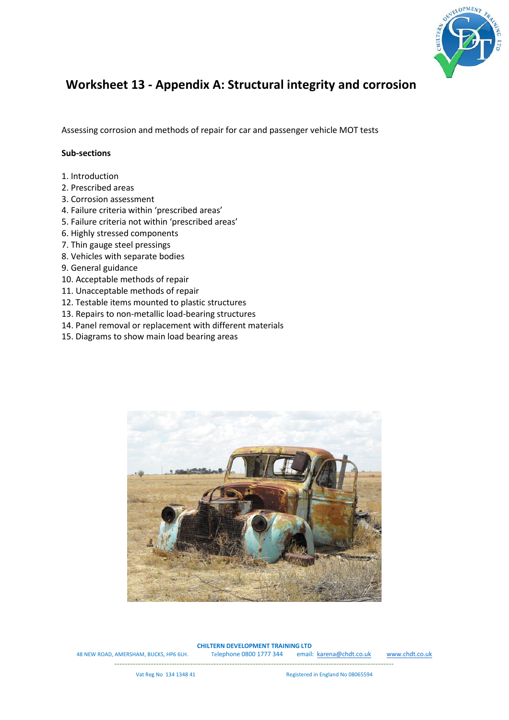

## **Worksheet 13 - Appendix A: Structural integrity and corrosion**

Assessing corrosion and methods of repair for car and passenger vehicle MOT tests

## **Sub-sections**

- 1. Introduction
- 2. Prescribed areas
- 3. Corrosion assessment
- 4. Failure criteria within 'prescribed areas'
- 5. Failure criteria not within 'prescribed areas'
- 6. Highly stressed components
- 7. Thin gauge steel pressings
- 8. Vehicles with separate bodies
- 9. General guidance
- 10. Acceptable methods of repair
- 11. Unacceptable methods of repair
- 12. Testable items mounted to plastic structures
- 13. Repairs to non-metallic load-bearing structures
- 14. Panel removal or replacement with different materials
- 15. Diagrams to show main load bearing areas



**CHILTERN DEVELOPMENT TRAINING LTD**

48 NEW ROAD, AMERSHAM, BUCKS, HP6 6LH. Telephone 0800 1777 344 email: [karena@chdt.co.uk](mailto:karena@chdt.co.uk) [www.chdt.co.uk](http://www.chdt.co.uk/)

-----------------------------------------------------------------------------------------------------------